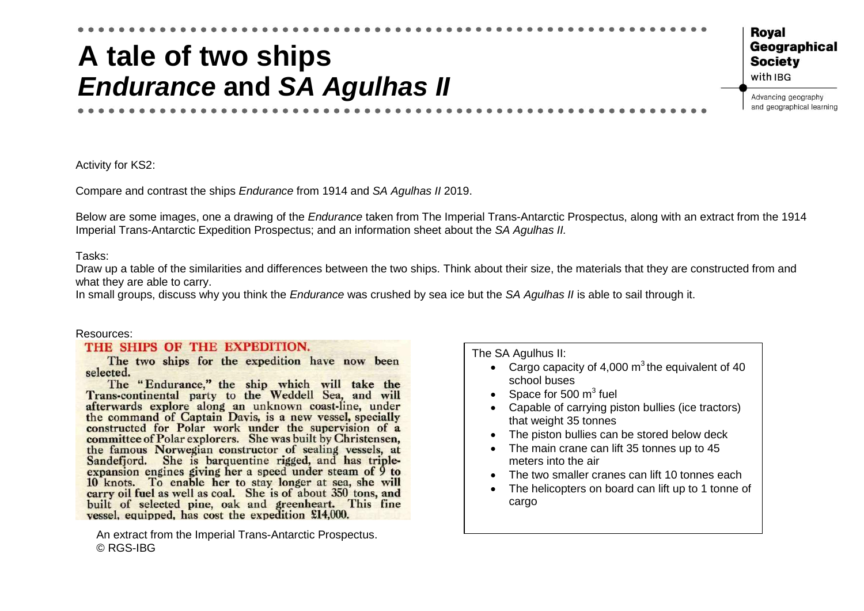## **A tale of two ships** *Endurance* **and** *SA Agulhas II*

Roval Geographical **Society** with IBG

Advancing geography and geographical learning

Activity for KS2:

Compare and contrast the ships *Endurance* from 1914 and *SA Agulhas II* 2019.

Below are some images, one a drawing of the *Endurance* taken from The Imperial Trans-Antarctic Prospectus, along with an extract from the 1914 Imperial Trans-Antarctic Expedition Prospectus; and an information sheet about the *SA Agulhas II.* 

Tasks:

Draw up a table of the similarities and differences between the two ships. Think about their size, the materials that they are constructed from and what they are able to carry.

In small groups, discuss why you think the *Endurance* was crushed by sea ice but the *SA Agulhas II* is able to sail through it.

## Resources:

## THE SHIPS OF THE EXPEDITION.

The two ships for the expedition have now been selected.

The "Endurance," the ship which will take the Trans-continental party to the Weddell Sea, and will afterwards explore along an unknown coast-line, under the command of Captain Davis, is a new vessel, specially constructed for Polar work under the supervision of a committee of Polar explorers. She was built by Christensen, the famous Norwegian constructor of sealing vessels, at Sandefjord. She is barquentine rigged, and has tripleexpansion engines giving her a speed under steam of 9 to 10 knots. To enable her to stay longer at sea, she will carry oil fuel as well as coal. She is of about 350 tons, and built of selected pine, oak and greenheart. This fine vessel, equipped, has cost the expedition £14,000.

An extract from the Imperial Trans-Antarctic Prospectus. © RGS-IBG

The SA Agulhus II:

- Cargo capacity of 4,000  $\text{m}^3$  the equivalent of 40 school buses
- Space for 500  $m^3$  fuel
- Capable of carrying piston bullies (ice tractors) that weight 35 tonnes
- The piston bullies can be stored below deck
- The main crane can lift 35 tonnes up to 45 meters into the air
- The two smaller cranes can lift 10 tonnes each
- The helicopters on board can lift up to 1 tonne of cargo